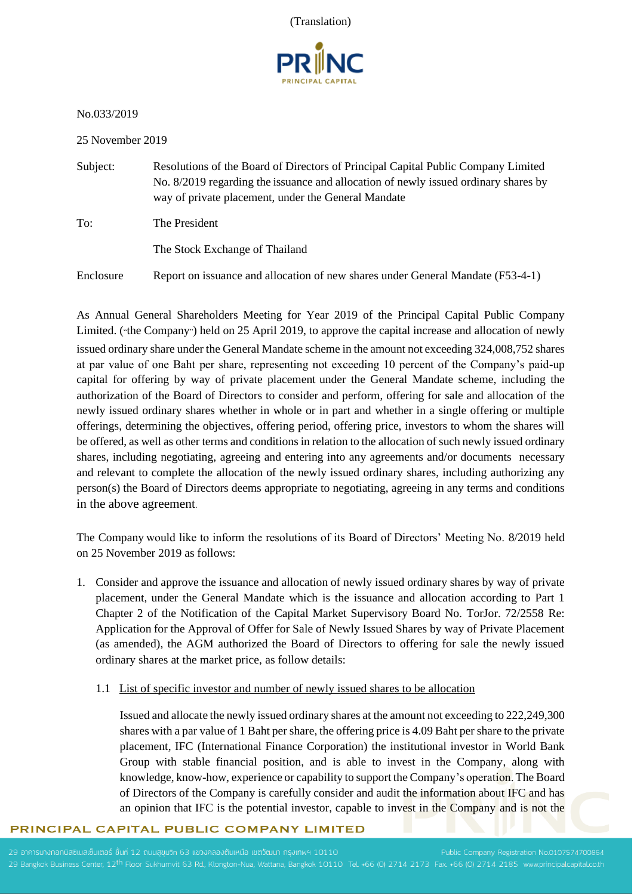(Translation)



No.033/2019

25 November 2019

- Subject: Resolutions of the Board of Directors of Principal Capital Public Company Limited No. 8/2019 regarding the issuance and allocation of newly issued ordinary shares by way of private placement, under the General Mandate
- To: The President

The Stock Exchange of Thailand

Enclosure Report on issuance and allocation of new shares under General Mandate (F53-4-1)

As Annual General Shareholders Meeting for Year 2019 of the Principal Capital Public Company Limited. ("the Company") held on 25 April 2019, to approve the capital increase and allocation of newly issued ordinary share under the General Mandate scheme in the amount not exceeding 324,008,752 shares at par value of one Baht per share, representing not exceeding 10 percent of the Company's paid-up capital for offering by way of private placement under the General Mandate scheme, including the authorization of the Board of Directors to consider and perform, offering for sale and allocation of the newly issued ordinary shares whether in whole or in part and whether in a single offering or multiple offerings, determining the objectives, offering period, offering price, investors to whom the shares will be offered, as well as other terms and conditions in relation to the allocation of such newly issued ordinary shares, including negotiating, agreeing and entering into any agreements and/or documents necessary and relevant to complete the allocation of the newly issued ordinary shares, including authorizing any person(s) the Board of Directors deems appropriate to negotiating, agreeing in any terms and conditions in the above agreement.

The Company would like to inform the resolutions of its Board of Directors' Meeting No. 8/2019 held on 25 November 2019 as follows:

- 1. Consider and approve the issuance and allocation of newly issued ordinary shares by way of private placement, under the General Mandate which is the issuance and allocation according to Part 1 Chapter 2 of the Notification of the Capital Market Supervisory Board No. TorJor. 72/2558 Re: Application for the Approval of Offer for Sale of Newly Issued Shares by way of Private Placement (as amended), the AGM authorized the Board of Directors to offering for sale the newly issued ordinary shares at the market price, as follow details:
	- 1.1 List of specific investor and number of newly issued shares to be allocation

Issued and allocate the newly issued ordinary shares at the amount not exceeding to 222,249,300 shares with a par value of 1 Baht per share, the offering price is 4.09 Baht per share to the private placement, IFC (International Finance Corporation) the institutional investor in World Bank Group with stable financial position, and is able to invest in the Company, along with knowledge, know-how, experience or capability to support the Company's operation.The Board of Directors of the Company is carefully consider and audit the information about IFC and has an opinion that IFC is the potential investor, capable to invest in the Company and is not the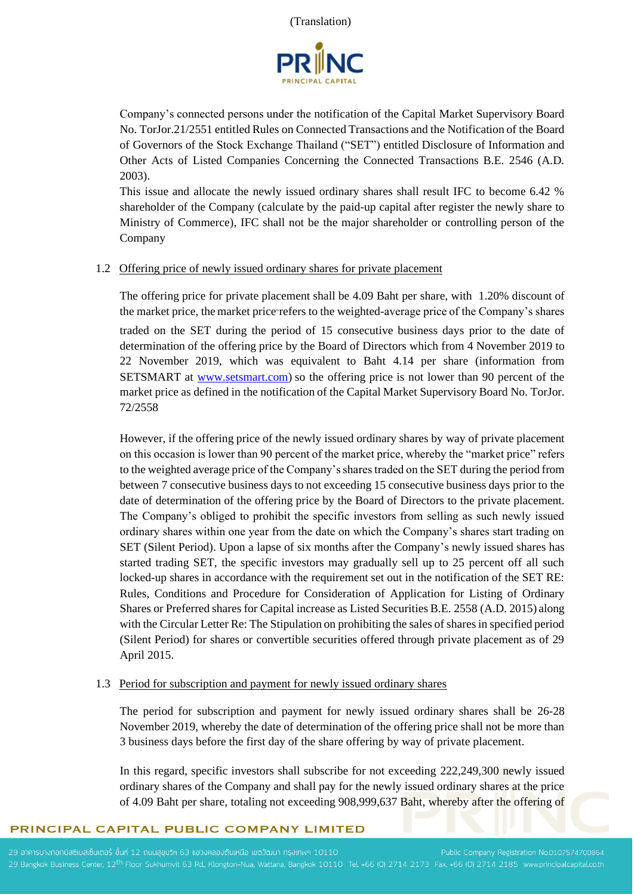

Company's connected persons under the notification of the Capital Market Supervisory Board No. TorJor.21/2551 entitled Rules on Connected Transactions and the Notification of the Board of Governors of the Stock Exchange Thailand ("SET") entitled Disclosure of Information and Other Acts of Listed Companies Concerning the Connected Transactions B.E. 2546 (A.D. 2003).

This issue and allocate the newly issued ordinary shares shall result IFC to become 6.42 % shareholder of the Company (calculate by the paid-up capital after register the newly share to Ministry of Commerce), IFC shall not be the major shareholder or controlling person of the Company

## 1.2 Offering price of newly issued ordinary shares for private placement

The offering price for private placement shall be 4.09 Baht per share, with 1.20% discount of the market price, the market price"refers to the weighted-average price of the Company's shares traded on the SET during the period of 15 consecutive business days prior to the date of determination of the offering price by the Board of Directors which from 4 November 2019 to 22 November 2019, which was equivalent to Baht 4.14 per share (information from SETSMART at [www.setsmart.com\)](http://www.setsmart.com/) so the offering price is not lower than 90 percent of the market price as defined in the notification of the Capital Market Supervisory Board No. TorJor. 72/2558

However, if the offering price of the newly issued ordinary shares by way of private placement on this occasion is lower than 90 percent of the market price, whereby the "market price" refers to the weighted average price of the Company's shares traded on the SET during the period from between 7 consecutive business days to not exceeding 15 consecutive business days prior to the date of determination of the offering price by the Board of Directors to the private placement. The Company's obliged to prohibit the specific investors from selling as such newly issued ordinary shares within one year from the date on which the Company's shares start trading on SET (Silent Period). Upon a lapse of six months after the Company's newly issued shares has started trading SET, the specific investors may gradually sell up to 25 percent off all such locked-up shares in accordance with the requirement set out in the notification of the SET RE: Rules, Conditions and Procedure for Consideration of Application for Listing of Ordinary Shares or Preferred shares for Capital increase as Listed Securities B.E. 2558 (A.D. 2015) along with the Circular Letter Re: The Stipulation on prohibiting the sales of shares in specified period (Silent Period) for shares or convertible securities offered through private placement as of 29 April 2015.

## 1.3 Period for subscription and payment for newly issued ordinary shares

The period for subscription and payment for newly issued ordinary shares shall be 26-28 November 2019, whereby the date of determination of the offering price shall not be more than 3 business days before the first day of the share offering by way of private placement.

In this regard, specific investors shall subscribe for not exceeding 222,249,300 newly issued ordinary shares of the Company and shall pay for the newly issued ordinary shares at the price of 4.09 Baht per share, totaling not exceeding 908,999,637 Baht, whereby after the offering of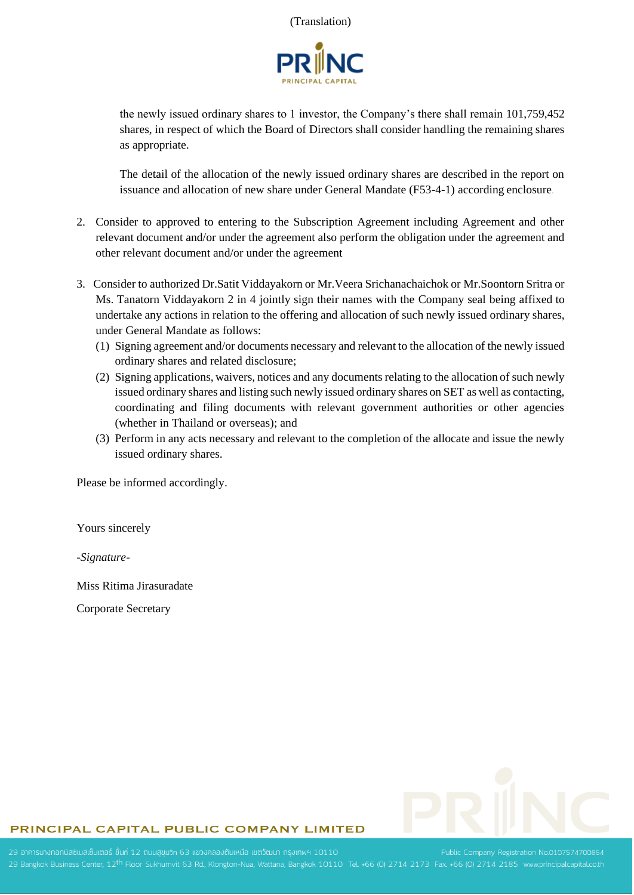

the newly issued ordinary shares to 1 investor, the Company's there shall remain 101,759,452 shares, in respect of which the Board of Directors shall consider handling the remaining shares as appropriate.

The detail of the allocation of the newly issued ordinary shares are described in the report on issuance and allocation of new share under General Mandate (F53-4-1) according enclosure.

- 2. Consider to approved to entering to the Subscription Agreement including Agreement and other relevant document and/or under the agreement also perform the obligation under the agreement and other relevant document and/or under the agreement
- 3. Consider to authorized Dr.Satit Viddayakorn or Mr.Veera Srichanachaichok or Mr.Soontorn Sritra or Ms. Tanatorn Viddayakorn 2 in 4 jointly sign their names with the Company seal being affixed to undertake any actions in relation to the offering and allocation of such newly issued ordinary shares, under General Mandate as follows:
	- (1) Signing agreement and/or documents necessary and relevant to the allocation of the newly issued ordinary shares and related disclosure;
	- (2) Signing applications, waivers, notices and any documents relating to the allocation of such newly issued ordinary shares and listing such newly issued ordinary shares on SET as well as contacting, coordinating and filing documents with relevant government authorities or other agencies (whether in Thailand or overseas); and
	- (3) Perform in any acts necessary and relevant to the completion of the allocate and issue the newly issued ordinary shares.

Please be informed accordingly.

Yours sincerely

*-Signature-*

Miss Ritima Jirasuradate

Corporate Secretary

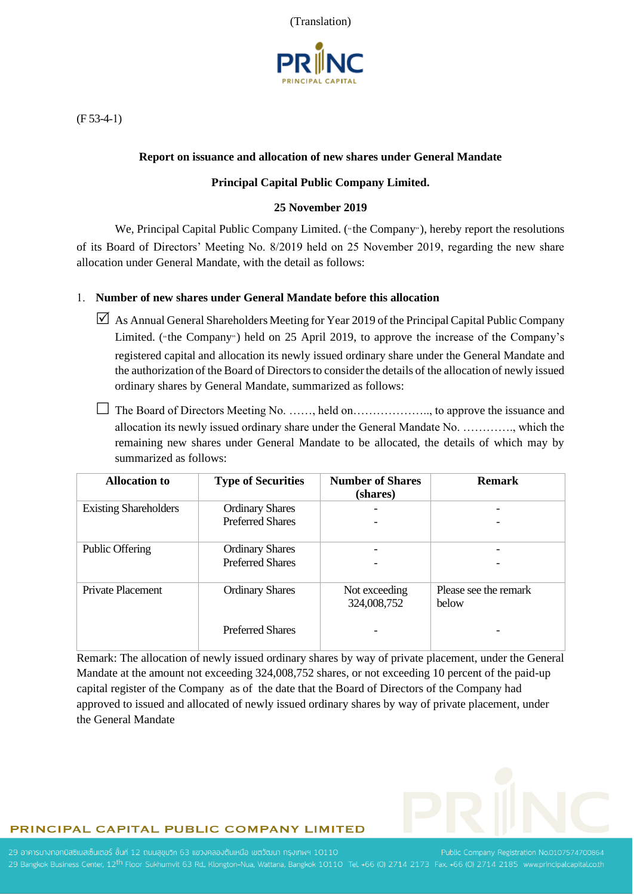(Translation)



(F 53-4-1)

## **Report on issuance and allocation of new shares under General Mandate**

## **Principal Capital Public Company Limited.**

## **25 November 2019**

We, Principal Capital Public Company Limited. ("the Company"), hereby report the resolutions of its Board of Directors' Meeting No. 8/2019 held on 25 November 2019, regarding the new share allocation under General Mandate, with the detail as follows:

## 1. **Number of new shares under General Mandate before this allocation**

- $\triangledown$  As Annual General Shareholders Meeting for Year 2019 of the Principal Capital Public Company Limited. ("the Company") held on 25 April 2019, to approve the increase of the Company's registered capital and allocation its newly issued ordinary share under the General Mandate and the authorization of the Board of Directors to consider the details of the allocation of newly issued ordinary shares by General Mandate, summarized as follows:
- $\Box$  The Board of Directors Meeting No. ......, held on........................, to approve the issuance and allocation its newly issued ordinary share under the General Mandate No. …………., which the remaining new shares under General Mandate to be allocated, the details of which may by summarized as follows:

| <b>Allocation to</b>         | <b>Type of Securities</b>                         | <b>Number of Shares</b><br>(shares) | <b>Remark</b>                  |
|------------------------------|---------------------------------------------------|-------------------------------------|--------------------------------|
| <b>Existing Shareholders</b> | <b>Ordinary Shares</b><br><b>Preferred Shares</b> |                                     |                                |
| <b>Public Offering</b>       | <b>Ordinary Shares</b><br><b>Preferred Shares</b> |                                     |                                |
| Private Placement            | <b>Ordinary Shares</b>                            | Not exceeding<br>324,008,752        | Please see the remark<br>below |
|                              | <b>Preferred Shares</b>                           |                                     |                                |

Remark: The allocation of newly issued ordinary shares by way of private placement, under the General Mandate at the amount not exceeding 324,008,752 shares, or not exceeding 10 percent of the paid-up capital register of the Company as of the date that the Board of Directors of the Company had approved to issued and allocated of newly issued ordinary shares by way of private placement, under the General Mandate

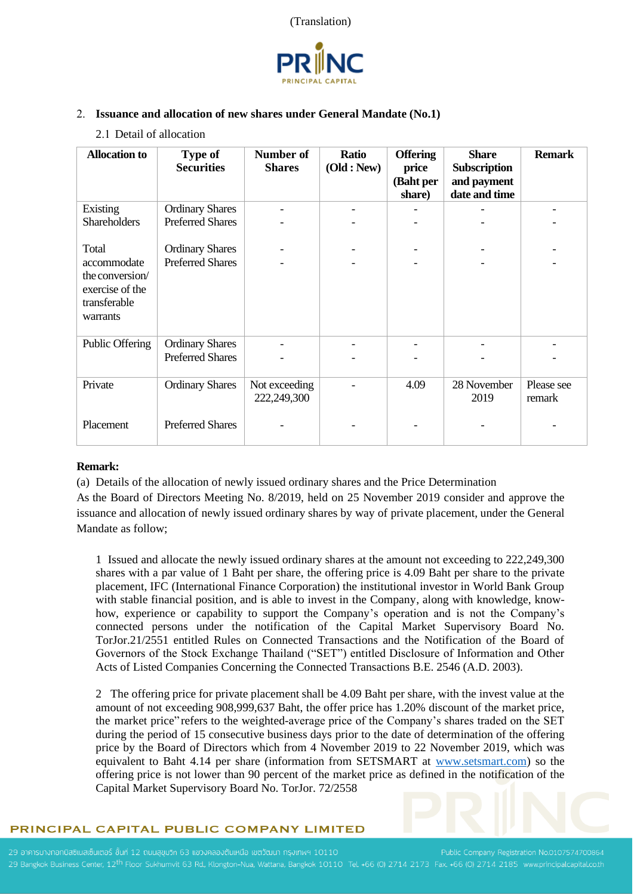



## 2. **Issuance and allocation of new shares under General Mandate (No.1)**

2.1 Detail of allocation

| <b>Allocation</b> to                                                          | <b>Type of</b><br><b>Securities</b> | Number of<br><b>Shares</b>   | Ratio<br>(Old : New) | <b>Offering</b><br>price<br>(Baht per<br>share) | <b>Share</b><br>Subscription<br>and payment<br>date and time | <b>Remark</b>        |
|-------------------------------------------------------------------------------|-------------------------------------|------------------------------|----------------------|-------------------------------------------------|--------------------------------------------------------------|----------------------|
| Existing                                                                      | <b>Ordinary Shares</b>              |                              |                      |                                                 |                                                              |                      |
| Shareholders                                                                  | <b>Preferred Shares</b>             |                              |                      |                                                 |                                                              |                      |
| Total                                                                         | <b>Ordinary Shares</b>              |                              |                      |                                                 |                                                              |                      |
| accommodate<br>the conversion/<br>exercise of the<br>transferable<br>warrants | <b>Preferred Shares</b>             |                              |                      |                                                 |                                                              |                      |
| Public Offering                                                               | <b>Ordinary Shares</b>              |                              |                      |                                                 |                                                              |                      |
|                                                                               | <b>Preferred Shares</b>             |                              |                      |                                                 |                                                              |                      |
| Private                                                                       | <b>Ordinary Shares</b>              | Not exceeding<br>222,249,300 |                      | 4.09                                            | 28 November<br>2019                                          | Please see<br>remark |
| Placement                                                                     | <b>Preferred Shares</b>             |                              |                      |                                                 |                                                              |                      |

## **Remark:**

(a) Details of the allocation of newly issued ordinary shares and the Price Determination

As the Board of Directors Meeting No. 8/2019, held on 25 November 2019 consider and approve the issuance and allocation of newly issued ordinary shares by way of private placement, under the General Mandate as follow;

1 Issued and allocate the newly issued ordinary shares at the amount not exceeding to 222,249,300 shares with a par value of 1 Baht per share, the offering price is 4.09 Baht per share to the private placement, IFC (International Finance Corporation) the institutional investor in World Bank Group with stable financial position, and is able to invest in the Company, along with knowledge, knowhow, experience or capability to support the Company's operation and is not the Company's connected persons under the notification of the Capital Market Supervisory Board No. TorJor.21/2551 entitled Rules on Connected Transactions and the Notification of the Board of Governors of the Stock Exchange Thailand ("SET") entitled Disclosure of Information and Other Acts of Listed Companies Concerning the Connected Transactions B.E. 2546 (A.D. 2003).

2 The offering price for private placement shall be 4.09 Baht per share, with the invest value at the amount of not exceeding 908,999,637 Baht, the offer price has 1.20% discount of the market price, the market price" refers to the weighted-average price of the Company's shares traded on the SET during the period of 15 consecutive business days prior to the date of determination of the offering price by the Board of Directors which from 4 November 2019 to 22 November 2019, which was equivalent to Baht 4.14 per share (information from SETSMART at [www.setsmart.com\)](http://www.setsmart.com/) so the offering price is not lower than 90 percent of the market price as defined in the notification of the Capital Market Supervisory Board No. TorJor. 72/2558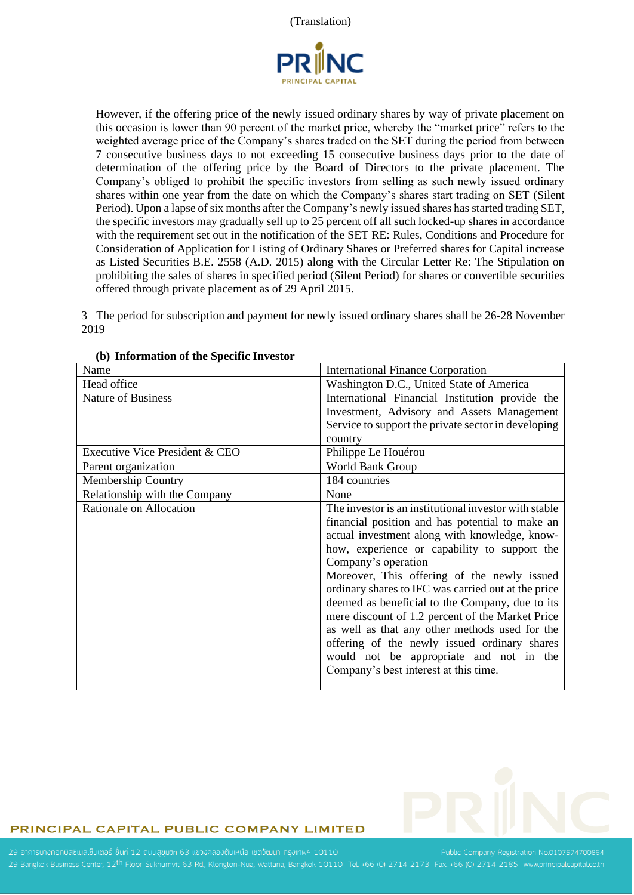

However, if the offering price of the newly issued ordinary shares by way of private placement on this occasion is lower than 90 percent of the market price, whereby the "market price" refers to the weighted average price of the Company's shares traded on the SET during the period from between 7 consecutive business days to not exceeding 15 consecutive business days prior to the date of determination of the offering price by the Board of Directors to the private placement. The Company's obliged to prohibit the specific investors from selling as such newly issued ordinary shares within one year from the date on which the Company's shares start trading on SET (Silent Period). Upon a lapse of six months after the Company's newly issued shares has started trading SET, the specific investors may gradually sell up to 25 percent off all such locked-up shares in accordance with the requirement set out in the notification of the SET RE: Rules, Conditions and Procedure for Consideration of Application for Listing of Ordinary Shares or Preferred shares for Capital increase as Listed Securities B.E. 2558 (A.D. 2015) along with the Circular Letter Re: The Stipulation on prohibiting the sales of shares in specified period (Silent Period) for shares or convertible securities offered through private placement as of 29 April 2015.

3 The period for subscription and payment for newly issued ordinary shares shall be 26-28 November 2019

| Name                           | <b>International Finance Corporation</b>              |
|--------------------------------|-------------------------------------------------------|
| Head office                    | Washington D.C., United State of America              |
| <b>Nature of Business</b>      | International Financial Institution provide the       |
|                                | Investment, Advisory and Assets Management            |
|                                | Service to support the private sector in developing   |
|                                | country                                               |
| Executive Vice President & CEO | Philippe Le Houérou                                   |
| Parent organization            | World Bank Group                                      |
| <b>Membership Country</b>      | 184 countries                                         |
| Relationship with the Company  | None                                                  |
| Rationale on Allocation        | The investor is an institutional investor with stable |
|                                | financial position and has potential to make an       |
|                                | actual investment along with knowledge, know-         |
|                                | how, experience or capability to support the          |
|                                | Company's operation                                   |
|                                | Moreover, This offering of the newly issued           |
|                                | ordinary shares to IFC was carried out at the price   |
|                                | deemed as beneficial to the Company, due to its       |
|                                | mere discount of 1.2 percent of the Market Price      |
|                                | as well as that any other methods used for the        |
|                                | offering of the newly issued ordinary shares          |
|                                | would not be appropriate and not in the               |
|                                | Company's best interest at this time.                 |
|                                |                                                       |

## **(b) Information of the Specific Investor**

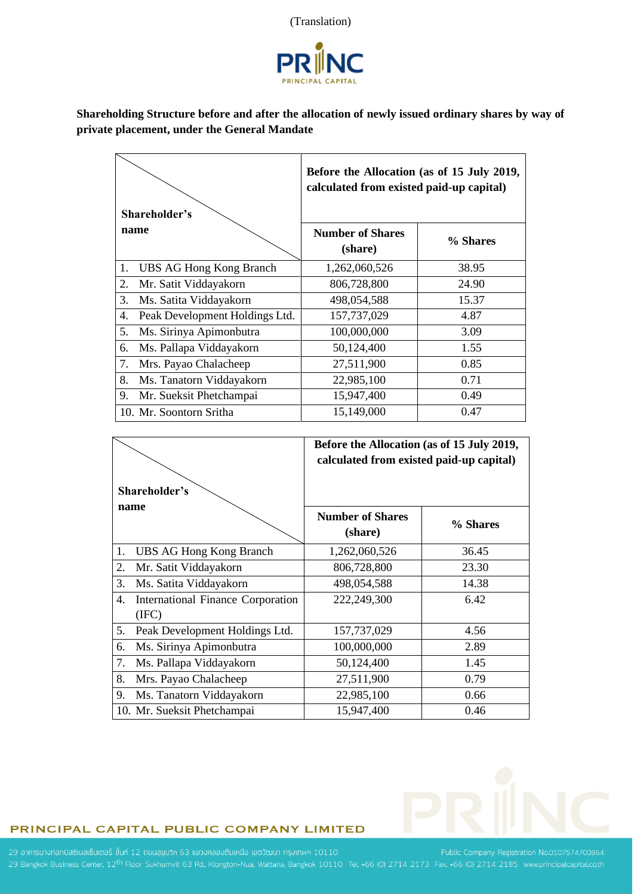



**Shareholding Structure before and after the allocation of newly issued ordinary shares by way of private placement, under the General Mandate** 

| Shareholder's                        | Before the Allocation (as of 15 July 2019,<br>calculated from existed paid-up capital) |          |  |
|--------------------------------------|----------------------------------------------------------------------------------------|----------|--|
| name                                 | <b>Number of Shares</b><br>(share)                                                     | % Shares |  |
| <b>UBS AG Hong Kong Branch</b><br>1. | 1,262,060,526                                                                          | 38.95    |  |
| 2.<br>Mr. Satit Viddayakorn          | 806,728,800                                                                            | 24.90    |  |
| 3.<br>Ms. Satita Viddayakorn         | 498,054,588                                                                            | 15.37    |  |
| 4.<br>Peak Development Holdings Ltd. | 157,737,029                                                                            | 4.87     |  |
| 5.<br>Ms. Sirinya Apimonbutra        | 100,000,000                                                                            | 3.09     |  |
| 6.<br>Ms. Pallapa Viddayakorn        | 50,124,400                                                                             | 1.55     |  |
| 7.<br>Mrs. Payao Chalacheep          | 27,511,900                                                                             | 0.85     |  |
| 8.<br>Ms. Tanatorn Viddayakorn       | 22,985,100                                                                             | 0.71     |  |
| 9.<br>Mr. Sueksit Phetchampai        | 15,947,400                                                                             | 0.49     |  |
| 10. Mr. Soontorn Sritha              | 15,149,000                                                                             | 0.47     |  |

| Shareholder's |                                                   | Before the Allocation (as of 15 July 2019,<br>calculated from existed paid-up capital) |          |  |
|---------------|---------------------------------------------------|----------------------------------------------------------------------------------------|----------|--|
|               | name                                              | <b>Number of Shares</b><br>(share)                                                     | % Shares |  |
| 1.            | UBS AG Hong Kong Branch                           | 1,262,060,526                                                                          | 36.45    |  |
| 2.            | Mr. Satit Viddayakorn                             | 806,728,800                                                                            | 23.30    |  |
| 3.            | Ms. Satita Viddayakorn                            | 498,054,588                                                                            | 14.38    |  |
| 4.            | <b>International Finance Corporation</b><br>(IFC) | 222,249,300                                                                            | 6.42     |  |
| 5.            | Peak Development Holdings Ltd.                    | 157,737,029                                                                            | 4.56     |  |
| 6.            | Ms. Sirinya Apimonbutra                           | 100,000,000                                                                            | 2.89     |  |
| 7.            | Ms. Pallapa Viddayakorn                           | 50,124,400                                                                             | 1.45     |  |
| 8.            | Mrs. Payao Chalacheep                             | 27,511,900                                                                             | 0.79     |  |
| 9.            | Ms. Tanatorn Viddayakorn                          | 22,985,100                                                                             | 0.66     |  |
|               | 10. Mr. Sueksit Phetchampai                       | 15,947,400                                                                             | 0.46     |  |

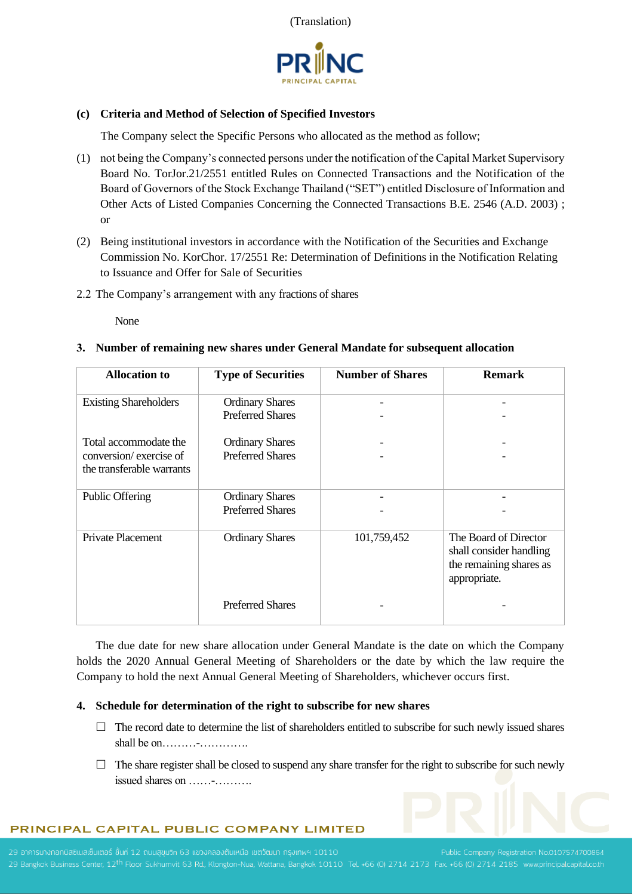



## **(c) Criteria and Method of Selection of Specified Investors**

The Company select the Specific Persons who allocated as the method as follow;

- (1) not being the Company's connected persons under the notification of the Capital Market Supervisory Board No. TorJor.21/2551 entitled Rules on Connected Transactions and the Notification of the Board of Governors of the Stock Exchange Thailand ("SET") entitled Disclosure of Information and Other Acts of Listed Companies Concerning the Connected Transactions B.E. 2546 (A.D. 2003) ; or
- (2) Being institutional investors in accordance with the Notification of the Securities and Exchange Commission No. KorChor. 17/2551 Re: Determination of Definitions in the Notification Relating to Issuance and Offer for Sale of Securities
- 2.2 The Company's arrangement with any fractions of shares

None

## **3. Number of remaining new shares under General Mandate for subsequent allocation**

| <b>Allocation to</b>                                                         | <b>Type of Securities</b>                         | <b>Number of Shares</b> | <b>Remark</b>                                                                               |
|------------------------------------------------------------------------------|---------------------------------------------------|-------------------------|---------------------------------------------------------------------------------------------|
| <b>Existing Shareholders</b>                                                 | <b>Ordinary Shares</b><br><b>Preferred Shares</b> |                         |                                                                                             |
| Total accommodate the<br>conversion/exercise of<br>the transferable warrants | <b>Ordinary Shares</b><br><b>Preferred Shares</b> |                         |                                                                                             |
| <b>Public Offering</b>                                                       | <b>Ordinary Shares</b><br><b>Preferred Shares</b> |                         |                                                                                             |
| Private Placement                                                            | <b>Ordinary Shares</b>                            | 101,759,452             | The Board of Director<br>shall consider handling<br>the remaining shares as<br>appropriate. |
|                                                                              | <b>Preferred Shares</b>                           |                         |                                                                                             |

The due date for new share allocation under General Mandate is the date on which the Company holds the 2020 Annual General Meeting of Shareholders or the date by which the law require the Company to hold the next Annual General Meeting of Shareholders, whichever occurs first.

## **4. Schedule for determination of the right to subscribe for new shares**

- $\Box$  The record date to determine the list of shareholders entitled to subscribe for such newly issued shares shall be on………-………….
- $\Box$  The share register shall be closed to suspend any share transfer for the right to subscribe for such newly issued shares on ……-……….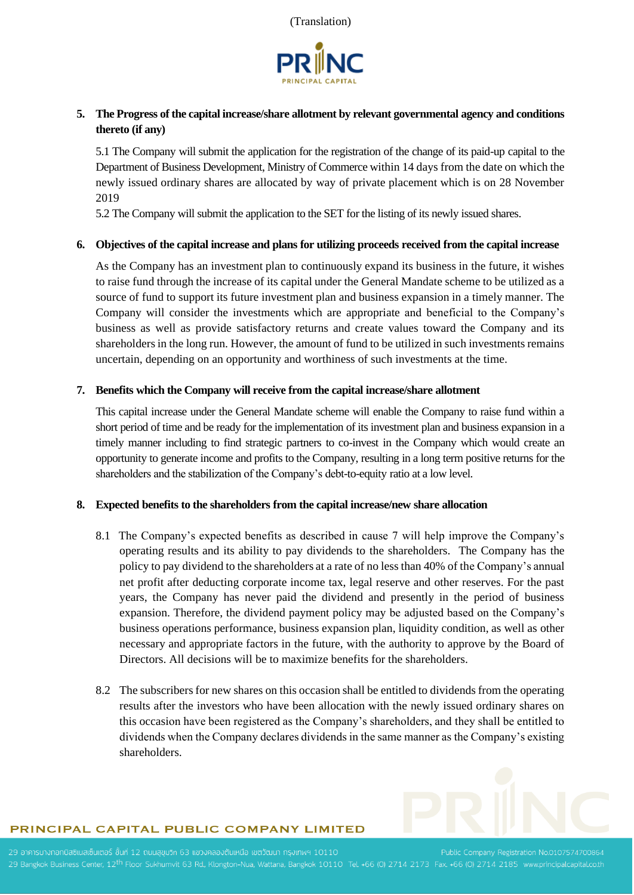



# **5. The Progress of the capital increase/share allotment by relevant governmental agency and conditions thereto (if any)**

5.1 The Company will submit the application for the registration of the change of its paid-up capital to the Department of Business Development, Ministry of Commerce within 14 days from the date on which the newly issued ordinary shares are allocated by way of private placement which is on 28 November 2019

5.2 The Company will submit the application to the SET for the listing of its newly issued shares.

## **6. Objectives of the capital increase and plans for utilizing proceeds received from the capital increase**

As the Company has an investment plan to continuously expand its business in the future, it wishes to raise fund through the increase of its capital under the General Mandate scheme to be utilized as a source of fund to support its future investment plan and business expansion in a timely manner. The Company will consider the investments which are appropriate and beneficial to the Company's business as well as provide satisfactory returns and create values toward the Company and its shareholders in the long run. However, the amount of fund to be utilized in such investments remains uncertain, depending on an opportunity and worthiness of such investments at the time.

## **7. Benefits which the Company will receive from the capital increase/share allotment**

This capital increase under the General Mandate scheme will enable the Company to raise fund within a short period of time and be ready for the implementation of its investment plan and business expansion in a timely manner including to find strategic partners to co-invest in the Company which would create an opportunity to generate income and profits to the Company, resulting in a long term positive returns for the shareholders and the stabilization of the Company's debt-to-equity ratio at a low level.

## **8. Expected benefits to the shareholders from the capital increase/new share allocation**

- 8.1 The Company's expected benefits as described in cause 7 will help improve the Company's operating results and its ability to pay dividends to the shareholders. The Company has the policy to pay dividend to the shareholders at a rate of no less than 40% of the Company's annual net profit after deducting corporate income tax, legal reserve and other reserves. For the past years, the Company has never paid the dividend and presently in the period of business expansion. Therefore, the dividend payment policy may be adjusted based on the Company's business operations performance, business expansion plan, liquidity condition, as well as other necessary and appropriate factors in the future, with the authority to approve by the Board of Directors. All decisions will be to maximize benefits for the shareholders.
- 8.2 The subscribers for new shares on this occasion shall be entitled to dividends from the operating results after the investors who have been allocation with the newly issued ordinary shares on this occasion have been registered as the Company's shareholders, and they shall be entitled to dividends when the Company declares dividends in the same manner as the Company's existing shareholders.

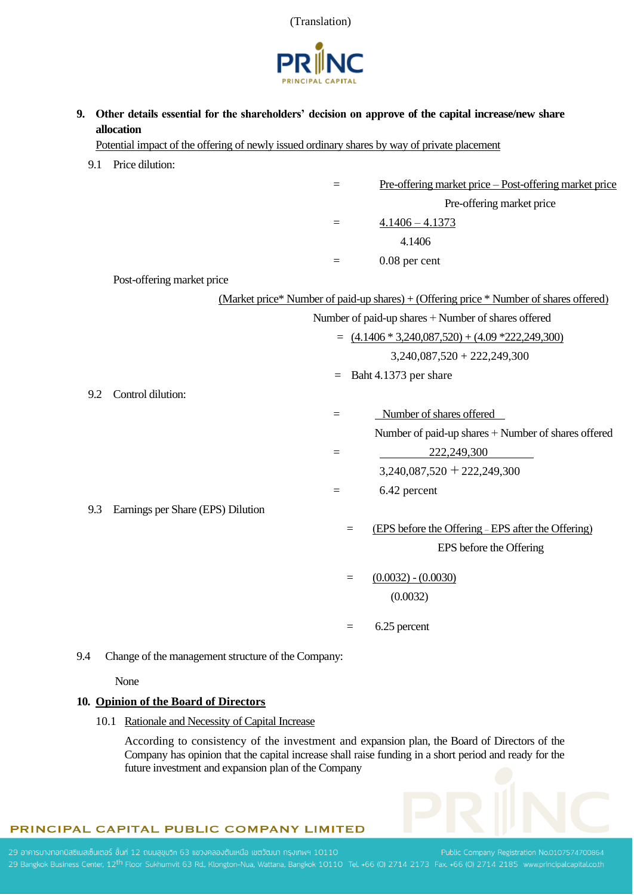



**9. Other details essential for the shareholders' decision on approve of the capital increase/new share allocation**

Potential impact of the offering of newly issued ordinary shares by way of private placement

9.1 Price dilution: = Pre-offering market price – Post-offering market price Pre-offering market price  $=$  4.1406 – 4.1373 4.1406  $=$  0.08 per cent Post-offering market price (Market price\* Number of paid-up shares) + (Offering price \* Number of shares offered) Number of paid-up shares + Number of shares offered  $= (4.1406 * 3.240087520) + (4.09 * 222249300)$  3,240,087,520 + 222,249,300 = Baht 4.1373 per share 9.2 Control dilution:  $=$  Number of shares offered Number of paid-up shares + Number of shares offered  $= 222,249,300$  $3,240,087,520 + 222,249,300$  $=$  6.42 percent 9.3 Earnings per Share (EPS) Dilution = (EPS before the Offering – EPS after the Offering) EPS before the Offering  $=$  (0.0032)  $-$  (0.0030) (0.0032)  $=$  6.25 percent

9.4 Change of the management structure of the Company:

None

#### **10. Opinion of the Board of Directors**

10.1 Rationale and Necessity of Capital Increase

According to consistency of the investment and expansion plan, the Board of Directors of the Company has opinion that the capital increase shall raise funding in a short period and ready for the future investment and expansion plan of the Company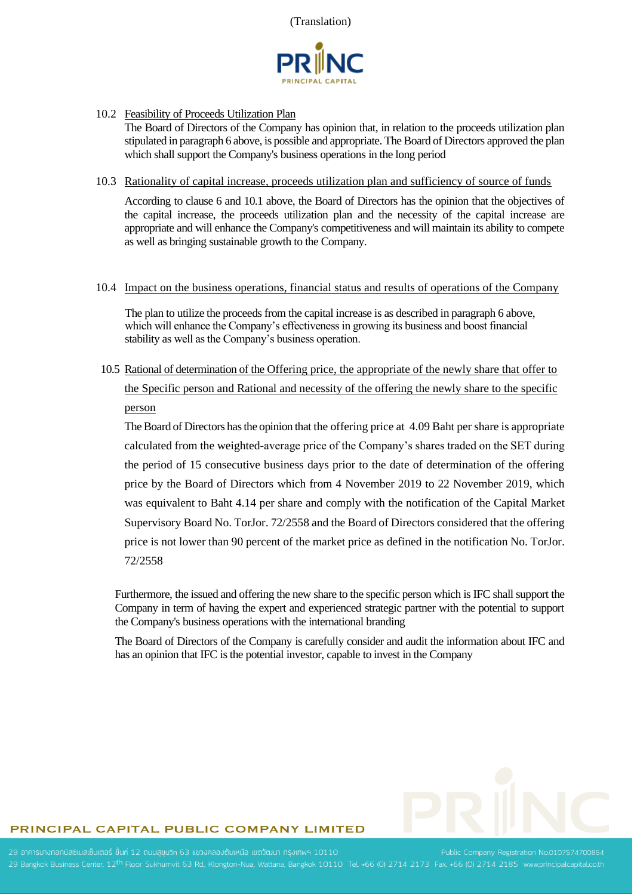

10.2 Feasibility of Proceeds Utilization Plan

The Board of Directors of the Company has opinion that, in relation to the proceeds utilization plan stipulated in paragraph 6 above, is possible and appropriate. The Board of Directors approved the plan which shall support the Company's business operations in the long period

#### 10.3 Rationality of capital increase, proceeds utilization plan and sufficiency of source of funds

According to clause 6 and 10.1 above, the Board of Directors has the opinion that the objectives of the capital increase, the proceeds utilization plan and the necessity of the capital increase are appropriate and will enhance the Company's competitiveness and will maintain its ability to compete as well as bringing sustainable growth to the Company.

#### 10.4 Impact on the business operations, financial status and results of operations of the Company

The plan to utilize the proceeds from the capital increase is as described in paragraph 6 above, which will enhance the Company's effectiveness in growing its business and boost financial stability as well as the Company's business operation.

10.5 Rational of determination of the Offering price, the appropriate of the newly share that offer to the Specific person and Rational and necessity of the offering the newly share to the specific person

The Board of Directors has the opinion that the offering price at 4.09 Baht per share is appropriate calculated from the weighted-average price of the Company's shares traded on the SET during the period of 15 consecutive business days prior to the date of determination of the offering price by the Board of Directors which from 4 November 2019 to 22 November 2019, which was equivalent to Baht 4.14 per share and comply with the notification of the Capital Market Supervisory Board No. TorJor. 72/2558 and the Board of Directors considered that the offering price is not lower than 90 percent of the market price as defined in the notification No. TorJor. 72/2558

Furthermore, the issued and offering the new share to the specific person which is IFC shall support the Company in term of having the expert and experienced strategic partner with the potential to support the Company's business operations with the international branding

The Board of Directors of the Company is carefully consider and audit the information about IFC and has an opinion that IFC is the potential investor, capable to invest in the Company